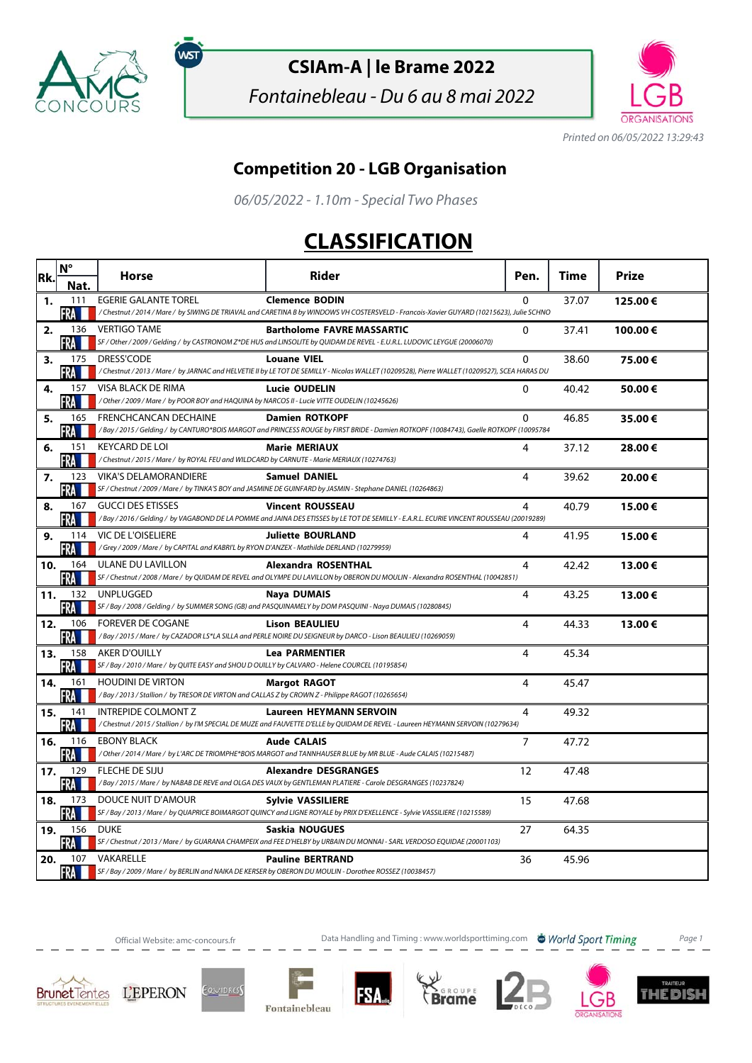

์พรา

## **CSIAm-A | le Brame 2022**

Fontainebleau - Du 6 au 8 mai 2022



Printed on 06/05/2022 13:29:43

## **Competition 20 - LGB Organisation**

06/05/2022 - 1.10m - Special Two Phases

## **CLASSIFICATION**

| Rk. | $N^{\circ}$<br>Nat. | Horse                                                                                                                        | Rider                                                                                                                                                               | Pen.           | Time  | Prize   |
|-----|---------------------|------------------------------------------------------------------------------------------------------------------------------|---------------------------------------------------------------------------------------------------------------------------------------------------------------------|----------------|-------|---------|
| 1.  | 111<br>∙RA.         | <b>EGERIE GALANTE TOREL</b>                                                                                                  | <b>Clemence BODIN</b><br>/ Chestnut / 2014 / Mare / by SIWING DE TRIAVAL and CARETINA B by WINDOWS VH COSTERSVELD - Francois-Xavier GUYARD (10215623), Julie SCHNO  | $\Omega$       | 37.07 | 125.00€ |
| 2.  | 136<br>FRA M        | VERTIGO TAME                                                                                                                 | <b>Bartholome FAVRE MASSARTIC</b><br>SF / Other / 2009 / Gelding / by CASTRONOM Z*DE HUS and LINSOLITE by QUIDAM DE REVEL - E.U.R.L. LUDOVIC LEYGUE (20006070)      | $\Omega$       | 37.41 | 100.00€ |
| 3.  | 175<br>FRA III      | DRESS'CODE                                                                                                                   | <b>Louane VIEL</b><br>/Chestnut / 2013 / Mare / by JARNAC and HELVETIE II by LE TOT DE SEMILLY - Nicolas WALLET (10209528), Pierre WALLET (10209527), SCEA HARAS DU | $\Omega$       | 38.60 | 75.00€  |
| 4.  | 157<br>FRA          | VISA BLACK DE RIMA<br>/ Other / 2009 / Mare / by POOR BOY and HAQUINA by NARCOS II - Lucie VITTE OUDELIN (10245626)          | <b>Lucie OUDELIN</b>                                                                                                                                                | 0              | 40.42 | 50.00€  |
| 5.  | 165<br>RА           | FRENCHCANCAN DECHAINE                                                                                                        | <b>Damien ROTKOPF</b><br>/Bay / 2015 / Gelding / by CANTURO*BOIS MARGOT and PRINCESS ROUGE by FIRST BRIDE - Damien ROTKOPF (10084743), Gaelle ROTKOPF (10095784     | $\Omega$       | 46.85 | 35.00€  |
| 6.  | 151<br>FRA          | <b>KEYCARD DE LOI</b><br>/Chestnut / 2015 / Mare / by ROYAL FEU and WILDCARD by CARNUTE - Marie MERIAUX (10274763)           | <b>Marie MERIAUX</b>                                                                                                                                                | 4              | 37.12 | 28.00€  |
| 7.  | 123<br>FRA          | <b>VIKA'S DELAMORANDIERE</b>                                                                                                 | <b>Samuel DANIEL</b><br>SF / Chestnut / 2009 / Mare / by TINKA'S BOY and JASMINE DE GUINFARD by JASMIN - Stephane DANIEL (10264863)                                 | 4              | 39.62 | 20.00€  |
| 8.  | 167<br>FRA          | <b>GUCCI DES ETISSES</b>                                                                                                     | <b>Vincent ROUSSEAU</b><br>/Bay / 2016 / Gelding / by VAGABOND DE LA POMME and JAINA DES ETISSES by LE TOT DE SEMILLY - E.A.R.L. ECURIE VINCENT ROUSSEAU (20019289) | 4              | 40.79 | 15.00€  |
| 9.  | 114<br>FRA          | VIC DE L'OISELIERE<br>/Grey / 2009 / Mare / by CAPITAL and KABRI'L by RYON D'ANZEX - Mathilde DERLAND (10279959)             | <b>Juliette BOURLAND</b>                                                                                                                                            | 4              | 41.95 | 15.00€  |
| 10. | 164<br>FRA          | ULANE DU LAVILLON                                                                                                            | <b>Alexandra ROSENTHAL</b><br>SF / Chestnut / 2008 / Mare / by QUIDAM DE REVEL and OLYMPE DU LAVILLON by OBERON DU MOULIN - Alexandra ROSENTHAL (10042851)          | 4              | 42.42 | 13.00€  |
| 11. | 132<br><b>FRA</b>   | UNPLUGGED                                                                                                                    | Naya DUMAIS<br>SF / Bay / 2008 / Gelding / by SUMMER SONG (GB) and PASQUINAMELY by DOM PASQUINI - Naya DUMAIS (10280845)                                            | 4              | 43.25 | 13.00€  |
| 12. | 106<br>FRA          | <b>FOREVER DE COGANE</b>                                                                                                     | <b>Lison BEAULIEU</b><br>/Bay / 2015 / Mare / by CAZADOR LS*LA SILLA and PERLE NOIRE DU SEIGNEUR by DARCO - Lison BEAULIEU (10269059)                               | 4              | 44.33 | 13.00€  |
| 13. | 158<br>FRA          | <b>AKER D'OUILLY</b><br>SF / Bay / 2010 / Mare / by QUITE EASY and SHOU D OUILLY by CALVARO - Helene COURCEL (10195854)      | <b>Lea PARMENTIER</b>                                                                                                                                               | 4              | 45.34 |         |
| 14. | 161<br>FRA          | <b>HOUDINI DE VIRTON</b><br>/Bay / 2013 / Stallion / by TRESOR DE VIRTON and CALLAS Z by CROWN Z - Philippe RAGOT (10265654) | <b>Margot RAGOT</b>                                                                                                                                                 | 4              | 45.47 |         |
| 15. | 141<br><b>FRA</b>   | <b>INTREPIDE COLMONT Z</b>                                                                                                   | <b>Laureen HEYMANN SERVOIN</b><br>/ Chestnut / 2015 / Stallion / by I'M SPECIAL DE MUZE and FAUVETTE D'ELLE by QUIDAM DE REVEL - Laureen HEYMANN SERVOIN (10279634) | 4              | 49.32 |         |
| 16. | 116<br><b>FRA</b>   | <b>EBONY BLACK</b>                                                                                                           | <b>Aude CALAIS</b><br>/Other / 2014 / Mare / by L'ARC DE TRIOMPHE*BOIS MARGOT and TANNHAUSER BLUE by MR BLUE - Aude CALAIS (10215487)                               | $\overline{7}$ | 47.72 |         |
| 17. | 129<br>FRA          | FLECHE DE SIJU                                                                                                               | <b>Alexandre DESGRANGES</b><br>/Bay / 2015 / Mare / by NABAB DE REVE and OLGA DES VAUX by GENTLEMAN PLATIERE - Carole DESGRANGES (10237824)                         | 12             | 47.48 |         |
| 18. | 173<br>FRA          | DOUCE NUIT D'AMOUR                                                                                                           | <b>Sylvie VASSILIERE</b><br>SF / Bay / 2013 / Mare / by QUAPRICE BOIMARGOT QUINCY and LIGNE ROYALE by PRIX D'EXELLENCE - Sylvie VASSILIERE (10215589)               | 15             | 47.68 |         |
| 19. | 156<br>FRA          | <b>DUKE</b>                                                                                                                  | Saskia NOUGUES<br>SF / Chestnut / 2013 / Mare / by GUARANA CHAMPEIX and FEE D'HELBY by URBAIN DU MONNAI - SARL VERDOSO EQUIDAE (20001103)                           | 27             | 64.35 |         |
| 20. | 107<br>FRA M        | VAKARELLE                                                                                                                    | <b>Pauline BERTRAND</b><br>SF / Bay / 2009 / Mare / by BERLIN and NAIKA DE KERSER by OBERON DU MOULIN - Dorothee ROSSEZ (10038457)                                  | 36             | 45.96 |         |

Official Website: amc-concours.fr **Data Handling and Timing : www.worldsporttiming.com World Sport Timing** Page 1











IМ